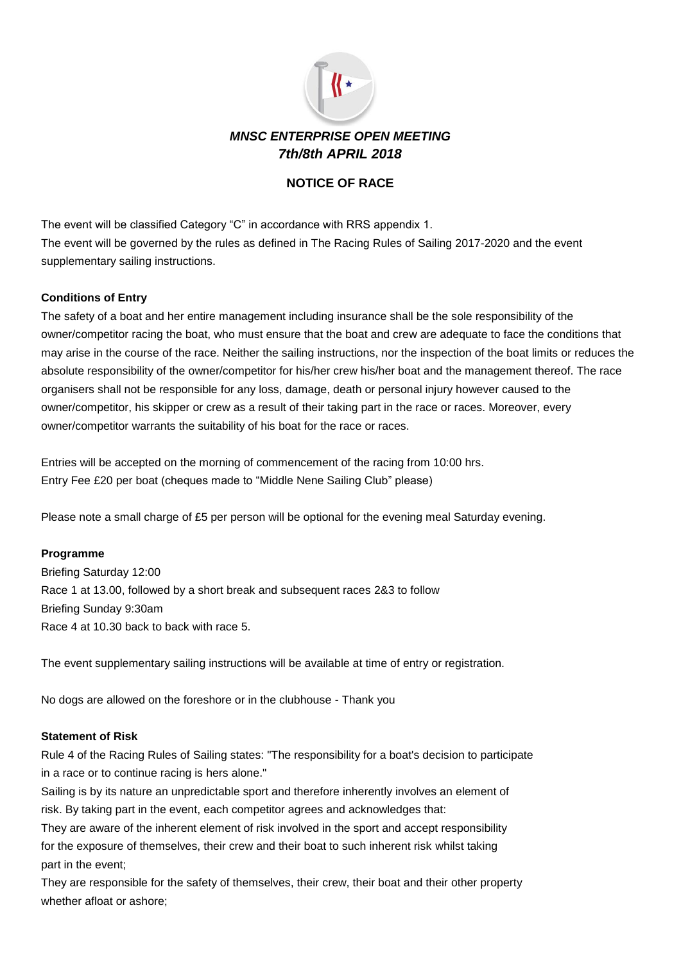

# **NOTICE OF RACE**

The event will be classified Category "C" in accordance with RRS appendix 1. The event will be governed by the rules as defined in The Racing Rules of Sailing 2017-2020 and the event supplementary sailing instructions.

# **Conditions of Entry**

The safety of a boat and her entire management including insurance shall be the sole responsibility of the owner/competitor racing the boat, who must ensure that the boat and crew are adequate to face the conditions that may arise in the course of the race. Neither the sailing instructions, nor the inspection of the boat limits or reduces the absolute responsibility of the owner/competitor for his/her crew his/her boat and the management thereof. The race organisers shall not be responsible for any loss, damage, death or personal injury however caused to the owner/competitor, his skipper or crew as a result of their taking part in the race or races. Moreover, every owner/competitor warrants the suitability of his boat for the race or races.

Entries will be accepted on the morning of commencement of the racing from 10:00 hrs. Entry Fee £20 per boat (cheques made to "Middle Nene Sailing Club" please)

Please note a small charge of £5 per person will be optional for the evening meal Saturday evening.

### **Programme**

Briefing Saturday 12:00 Race 1 at 13.00, followed by a short break and subsequent races 2&3 to follow Briefing Sunday 9:30am Race 4 at 10.30 back to back with race 5.

The event supplementary sailing instructions will be available at time of entry or registration.

No dogs are allowed on the foreshore or in the clubhouse - Thank you

#### **Statement of Risk**

Rule 4 of the Racing Rules of Sailing states: "The responsibility for a boat's decision to participate in a race or to continue racing is hers alone."

Sailing is by its nature an unpredictable sport and therefore inherently involves an element of risk. By taking part in the event, each competitor agrees and acknowledges that:

They are aware of the inherent element of risk involved in the sport and accept responsibility for the exposure of themselves, their crew and their boat to such inherent risk whilst taking part in the event;

They are responsible for the safety of themselves, their crew, their boat and their other property whether afloat or ashore;